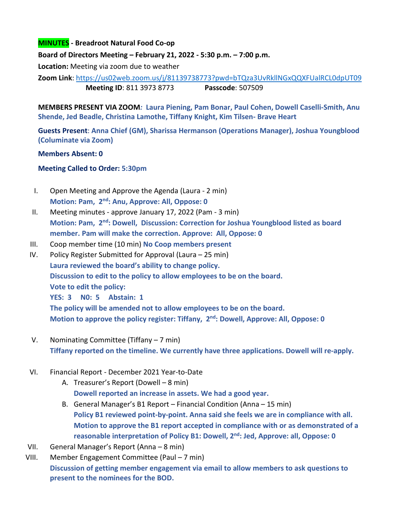## **MINUTES - Breadroot Natural Food Co-op**

**Board of Directors Meeting – February 21, 2022 - 5:30 p.m. – 7:00 p.m.** 

**Location:** Meeting via zoom due to weather

**Zoom Link**:<https://us02web.zoom.us/j/81139738773?pwd=bTQza3UvRkllNGxQQXFUalRCL0dpUT09> **Meeting ID**: 811 3973 8773 **Passcode**: 507509

**MEMBERS PRESENT VIA ZOOM***:* **Laura Piening, Pam Bonar, Paul Cohen, Dowell Caselli-Smith, Anu Shende, Jed Beadle, Christina Lamothe, Tiffany Knight, Kim Tilsen- Brave Heart** 

**Guests Present**: **Anna Chief (GM), Sharissa Hermanson (Operations Manager), Joshua Youngblood (Columinate via Zoom)**

## **Members Absent: 0**

## **Meeting Called to Order: 5:30pm**

- I. Open Meeting and Approve the Agenda (Laura 2 min) **Motion: Pam, 2nd: Anu, Approve: All, Oppose: 0**
- II. Meeting minutes approve January 17, 2022 (Pam 3 min) **Motion: Pam, 2nd: Dowell, Discussion: Correction for Joshua Youngblood listed as board member. Pam will make the correction. Approve: All, Oppose: 0**
- III. Coop member time (10 min) **No Coop members present**
- IV. Policy Register Submitted for Approval (Laura 25 min) **Laura reviewed the board's ability to change policy. Discussion to edit to the policy to allow employees to be on the board. Vote to edit the policy: YES: 3 N0: 5 Abstain: 1 The policy will be amended not to allow employees to be on the board. Motion to approve the policy register: Tiffany, 2nd: Dowell, Approve: All, Oppose: 0**
- V. Nominating Committee (Tiffany 7 min) **Tiffany reported on the timeline. We currently have three applications. Dowell will re-apply.**
- VI. Financial Report December 2021 Year-to-Date
	- A. Treasurer's Report (Dowell 8 min) **Dowell reported an increase in assets. We had a good year.**
	- B. General Manager's B1 Report Financial Condition (Anna 15 min) **Policy B1 reviewed point-by-point. Anna said she feels we are in compliance with all. Motion to approve the B1 report accepted in compliance with or as demonstrated of a reasonable interpretation of Policy B1: Dowell, 2nd: Jed, Approve: all, Oppose: 0**
- VII. General Manager's Report (Anna 8 min)
- VIII. Member Engagement Committee (Paul 7 min) **Discussion of getting member engagement via email to allow members to ask questions to present to the nominees for the BOD.**